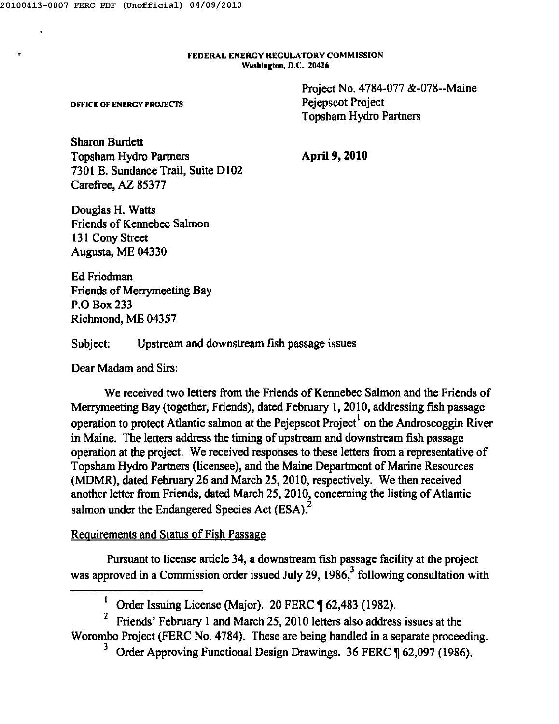$\mathbf{r}$ 

FEDERAL ENERGY REGULATORY COMMISSION Washington, D.C. 204Z6

> Project No. 4784-077 &-078--Maine Pejepscot Project Topsham Hydro Partners

OFFICE OF ENERGY PROJECTS

Sharon Burdett Topsham Hydro Partners 7301 E. Sundance Trail, Suite D102 Carefree, AZ 85377

April 9, **2010**

Douglas H. Watts Friends of Kennebec Salmon 13I Cony Street Augusta, ME 04330

Ed Friedman Friends of Merrymeeting Bay P.O Box 233 Richmond, ME 04357

Subject: Upstream and downstream fish passage issues

Dear Madam and Sirs:

We received two letters from the Friends of Kennebec Salmon and the Friends of Merrymeeting Bay (together, Friends), dated February 1,2010, addressing fish passage operation to protect Atlantic salmon at the Pejepscot Project<sup>1</sup> on the Androscoggin River<br>operation to protect Atlantic salmon at the Pejepscot Project<sup>1</sup> on the Androscoggin River in Maine. The letters address the timing of upstream and downstream fish passage operation at the project. We received responses to these letters from a representative of Topsham Hydro Partners (licensee), and the Maine Department of Marine Resources (MDMR), dated February 26 and March 25,2010, respectively. We then received another letter from Friends, dated March 25, 2010, concerning the listing of Atlantic salmon under the Endangered Species Act (ESA).<sup>2</sup>

### Requirements and Status of Fish Passage

Pursuant to license article 34, a downstream fish passage facility at the project was approved in a Commission order issued July 29, 1986,  $3$  following consultation with

<sup>&</sup>lt;sup>1</sup> Order Issuing License (Major). 20 FERC  $\P$  62,483 (1982).

<sup>2</sup> Friends' February I and March 25,2010 letters also address issues at the Worombo Project (FERC No. 4784). These are being handled in a separate proceeding.

Order Approving Functional Design Drawings. 36 FERC ¶ 62,097 (1986).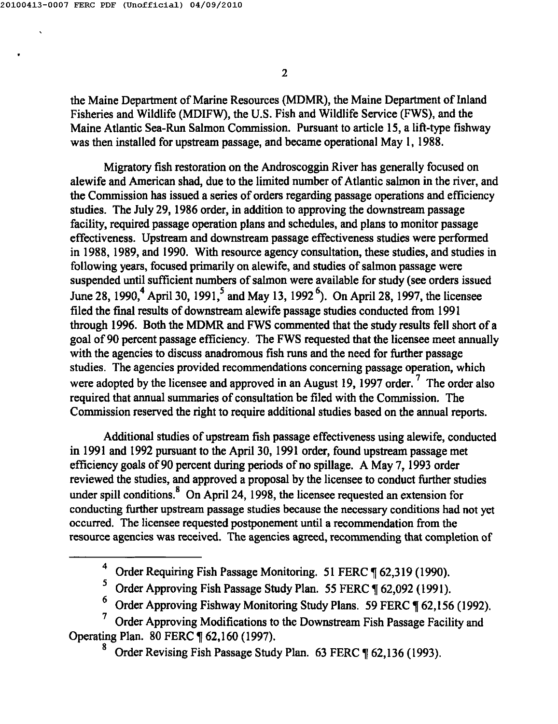the Maine Department of Marine Resources (MDMR), the Maine Department of Inland Fisheries and Wildlife (MDIFW), the U.S. Fish and Wildlife Service (FWS), and the Maine Atlantic Sea-Run Salmon Commission. Pursuant to article 15, a lift-type fishway was then installed for upstream passage, and became operational May I, 1988.

Migratory fish restoration on the Androscoggin River has generally focused on alewife and American shad, due to the limited number of Atlantic salmon in the river, and the Commission has issued a series of orders regarding passage operations and efficiency studies. The July 29, 1986 order, in addition to approving the downstream passage facility, required passage operation plans and schedules, and plans to monitor passage effectiveness. Upstream and downstream passage effectiveness studies were performed in 1988, 1989, and 1990. With resource agency consultation, these studies, and studies in following years, focused primarily on alewife, and studies of salmon passage were suspended until sufficient numbers of salmon were available for study (see orders issued June 28, 1990,<sup>4</sup> April 30, 1991,<sup>5</sup> and May 13, 1992<sup>6</sup>). On April 28, 1997, the licensee filed the fmal results of downstream alewife passage studies conducted from 1991 through 1996. Both the MDMR and FWS commented that the study results fell short of a goal of 90 percent passage efficiency. The FWS requested that the licensee meet annually with the agencies to discuss anadromous fish runs and the need for further passage studies. The agencies provided recommendations concerning passage operation, which were adopted by the licensee and approved in an August 19, 1997 order.<sup>7</sup> The order also required that annual summaries of consultation be filed with the Commission. The Commission reserved the right to require additional studies based on the annual reports.

Additional studies of upstream fish passage effectiveness using alewife, conducted in 1991 and 1992 pursuant to the April 30, 1991 order, found upstream passage met efficiency goals of 90 percent during periods of no spillage. A May 7, 1993 order reviewed the studies, and approved a proposal by the licensee to conduct further studies under spill conditions.<sup>8</sup> On April 24, 1998, the licensee requested an extension for conducting further upstream passage studies because the necessary conditions had not yet occurred. The licensee requested postponement until a recommendation from the resource agencies was received. The agencies agreed, recommending that completion of

<sup>4</sup> Order Requiring Fish Passage Monitoring. 51 FERC ¶ 62,319 (1990).

 $5$  Order Approving Fish Passage Study Plan. 55 FERC  $\P$  62,092 (1991).

<sup>&</sup>lt;sup>6</sup> Order Approving Fishway Monitoring Study Plans. 59 FERC  $\P$  62,156 (1992).

<sup>7</sup> Order Approving Modifications to the Downstream Fish Passage Facility and Operating Plan. 80 FERC ¶ 62,160 (1997).

Order Revising Fish Passage Study Plan. 63 FERC ¶ 62,136 (1993).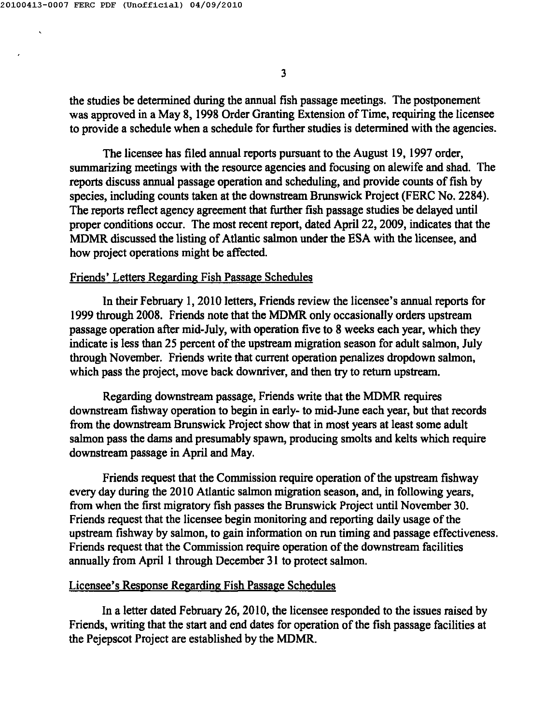the studies be detennined during the annual fish passage meetings. The postponement was approved in a May 8, 1998 Order Granting Extension of Time, requiring the licensee to provide a schedule when a schedule for further studies is determined with the agencies.

The licensee has filed annual reports pursuant to the August 19, 1997 order, summarizing meetings with the resource agencies and focusing on alewife and shad. The reports discuss annual passage operation and scheduling, and provide counts of fish by species, including counts taken at the downstream Brunswick Project (FERC No. 2284). The reports reflect agency agreement that further fish passage studies be delayed until proper conditions occur. The most recent report, dated April 22, 2009, indicates that the MDMR discussed the listing of Atlantic salmon under the ESA with the licensee, and how project operations might be affected.

### Friends' Letters Regarding Fish Passage Schedules

In their February I, 2010 letters, Friends review the licensee's annual reports for 1999 through 2008. Friends note that the MDMR only occasionally orders upstream passage operation after mid-July, with operation five to 8 weeks each year, which they indicate is less than 25 percent of the upstream migration season for adult salmon, July through November. Friends write that current operation penalizes dropdown salmon, which pass the project, move back downriver, and then try to return upstream.

Regarding downstream passage, Friends write that the MDMR requires downstream fishway operation to begin in early- to mid-June each year, but that records from the downstream Brunswick Project show that in most years at least some adult salmon pass the dams and presumably spawn, producing smolts and kelts which require downstream passage in April and May.

Friends request that the Commission require operation of the upstream fishway every day during the 20 I0 Atlantic salmon migration season, and, in following years, from when the first migratory fish passes the Brunswick Project until November 30. Friends request that the licensee begin monitoring and reporting daily usage of the upstream fishway by salmon, to gain information on run timing and passage effectiveness. Friends request that the Commission require operation of the downstream facilities annually from April I through December 31 to protect salmon.

### Licensee's Response Regarding Fish Passage Schedules

In a letter dated February 26,2010, the licensee responded to the issues raised by Friends, writing that the start and end dates for operation of the fish passage facilities at the Pejepscot Project are established by the MDMR.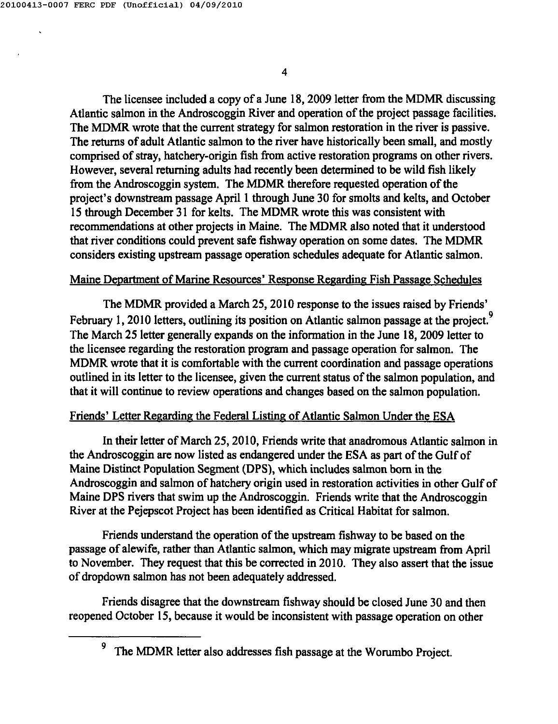The licensee included a copy of a June 18, 2009 letter from the MDMR discussing Atlantic salmon in the Androscoggin River and operation of the project passage facilities. The MDMR wrote that the current strategy for salmon restoration in the river is passive. The returns of adult Atlantic salmon to the river have historically been small, and mostly comprised of stray, hatchery-origin fish from active restoration programs on other rivers. However, several returning adults had recently been determined to be wild fish likely from the Androscoggin system. The MDMR therefore requested operation of the project's downstream passage April I through June 30 for smolts and kelts, and October 15 through December 31 for kelts. The MDMR wrote this was consistent with recommendations at other projects in Maine. The MDMR also noted that it understood that river conditions could prevent safe fishway operation on some dates. The MDMR considers existing upstream passage operation schedules adequate for Atlantic salmon.

## Maine Deoartment of Marine Resources' Response Regarding Fish Passage Schedules

The MDMR provided a March 25, 2010 response to the issues raised by Friends' February 1, 2010 letters, outlining its position on Atlantic salmon passage at the project.<sup>9</sup> The March 25 letter generally expands on the information in the June 18, 2009 letter to the licensee regarding the restoration program and passage operation for salmon. The MDMR wrote that it is comfortable with the current coordination and passage operations outlined in its letter to the licensee, given the current status of the salmon population, and that it will continue to review operations and changes based on the salmon population.

# Friends' Letter Regarding the Federal Listing of Atlantic Salmon Under the ESA

In their letter of March 25,2010, Friends write that anadromous Atlantic salmon in the Androscoggin are now listed as endangered under the ESA as part of the Gulf of Maine Distinct Population Segment (DPS), which includes salmon born in the Androscoggin and salmon of hatchery origin used in restoration activities in other Gulf of Maine DPS rivers that swim up the Androscoggin. Friends write that the Androscoggin River at the Pejepscot Project has been identified as Critical Habitat for salmon.

Friends understand the operation of the upstream fishway to be based on the passage of alewife, rather than Atlantic salmon, which may migrate upstream from April to November. They request that this be corrected in 2010. They also assert that the issue of dropdown salmon has not been adequately addressed.

Friends disagree that the downstream fishway should be closed June 30 and then reopened October 15, because it would be inconsistent with passage operation on other

<sup>&</sup>lt;sup>9</sup> The MDMR letter also addresses fish passage at the Worumbo Project.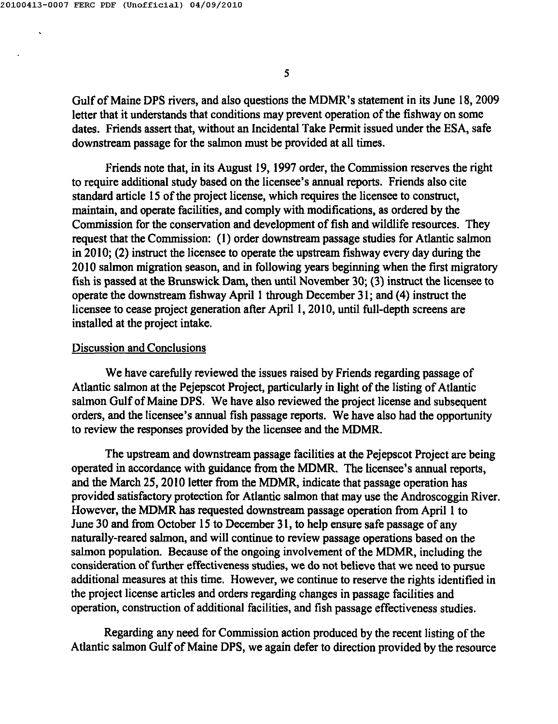Gulf of Maine DPS rivers, and also questions the MDMR's statement in its June 18,2009 letter that it understands that conditions may prevent operation of the fishway on some dates. Friends assert that, without an Incidental Take Permit issued under the ESA, safe downstream passage for the salmon must be provided at all times.

Friends note that, in its August 19, 1997 order, the Commission reserves the right to require additional study based on the licensee's annual reports. Friends also cite standard article 15 of the project license, which requires the licensee to construct, maintain, and operate facilities, and comply with modifications, as ordered by the Commission for the conservation and development of fish and wildlife resources. They request that the Commission: (I) order downstream passage studies for Atlantic salmon in 2010; (2) instruct the licensee to operate the upstream fishway every day during the 20 I0 salmon migration season, and in following years beginning when the first migratory fish is passed at the Brunswick Dam, then until November 30; (3) instruct the licensee to operate the downstream fishway April 1 through December 31; and (4) instruct the licensee to cease project generation after April I, 2010, until full-depth screens are installed at the project intake.

### Discussion and Conclusions

We have carefully reviewed the issues raised by Friends regarding passage of Atlantic salmon at the Pejepscot Project, particularly in light of the listing of Atlantic salmon Gulf of Maine DPS. We have also reviewed the project license and subsequent orders, and the licensee's annual fish passage reports. We have also had the opportunity to review the responses provided by the licensee and the MDMR.

The upstream and downstream passage facilities at the Pejepscot Project are being operated in accordance with guidance from the MDMR. The licensee's annual reports, and the March 25,2010 letter from the MDMR, indicate that passage operation has provided satisfactory protection for Atlantic salmon that may use the Androscoggin River. However, the MDMR has requested downstream passage operation from April I to June 30 and from October 15 to December 31, to help ensure safe passage of any naturally-reared salmon, and will continue to review passage operations based on the salmon population. Because of the ongoing involvement of the MDMR, including the consideration of further effectiveness studies, we do not believe that we need to pursue additional measures at this time. However, we continue to reserve the rights identified in the project license articles and orders regarding changes in passage facilities and operation, construction of additional facilities, and fish passage effectiveness studies.

Regarding any need for Commission action produced by the recent listing of the Atlantic salmon Gulf of Maine DPS, we again defer to direction provided by the resource